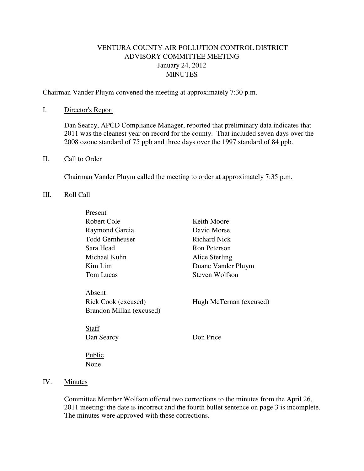# VENTURA COUNTY AIR POLLUTION CONTROL DISTRICT ADVISORY COMMITTEE MEETING January 24, 2012 **MINUTES**

Chairman Vander Pluym convened the meeting at approximately 7:30 p.m.

#### I. Director's Report

Dan Searcy, APCD Compliance Manager, reported that preliminary data indicates that 2011 was the cleanest year on record for the county. That included seven days over the 2008 ozone standard of 75 ppb and three days over the 1997 standard of 84 ppb.

#### II. Call to Order

Chairman Vander Pluym called the meeting to order at approximately 7:35 p.m.

#### III. Roll Call

| Present                  |                         |
|--------------------------|-------------------------|
| Robert Cole              | Keith Moore             |
| Raymond Garcia           | David Morse             |
| <b>Todd Gernheuser</b>   | Richard Nick            |
| Sara Head                | Ron Peterson            |
| Michael Kuhn             | Alice Sterling          |
| Kim Lim                  | Duane Vander Pluym      |
| Tom Lucas                | Steven Wolfson          |
| Absent                   |                         |
| Rick Cook (excused)      | Hugh McTernan (excused) |
| Brandon Millan (excused) |                         |
| <b>Staff</b>             |                         |
| Dan Searcy               | Don Price               |

 Public None

## IV. Minutes

Committee Member Wolfson offered two corrections to the minutes from the April 26, 2011 meeting: the date is incorrect and the fourth bullet sentence on page 3 is incomplete. The minutes were approved with these corrections.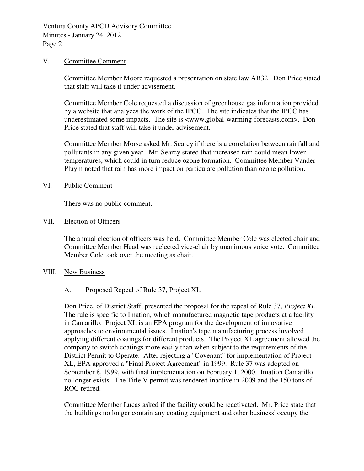Ventura County APCD Advisory Committee Minutes - January 24, 2012 Page 2

#### V. Committee Comment

Committee Member Moore requested a presentation on state law AB32. Don Price stated that staff will take it under advisement.

Committee Member Cole requested a discussion of greenhouse gas information provided by a website that analyzes the work of the IPCC. The site indicates that the IPCC has underestimated some impacts. The site is <www.global-warming-forecasts.com>. Don Price stated that staff will take it under advisement.

Committee Member Morse asked Mr. Searcy if there is a correlation between rainfall and pollutants in any given year. Mr. Searcy stated that increased rain could mean lower temperatures, which could in turn reduce ozone formation. Committee Member Vander Pluym noted that rain has more impact on particulate pollution than ozone pollution.

#### VI. Public Comment

There was no public comment.

#### VII. Election of Officers

The annual election of officers was held. Committee Member Cole was elected chair and Committee Member Head was reelected vice-chair by unanimous voice vote. Committee Member Cole took over the meeting as chair.

#### VIII. New Business

### A. Proposed Repeal of Rule 37, Project XL

Don Price, of District Staff, presented the proposal for the repeal of Rule 37, *Project XL*. The rule is specific to Imation, which manufactured magnetic tape products at a facility in Camarillo. Project XL is an EPA program for the development of innovative approaches to environmental issues. Imation's tape manufacturing process involved applying different coatings for different products. The Project XL agreement allowed the company to switch coatings more easily than when subject to the requirements of the District Permit to Operate. After rejecting a "Covenant" for implementation of Project XL, EPA approved a "Final Project Agreement" in 1999. Rule 37 was adopted on September 8, 1999, with final implementation on February 1, 2000. Imation Camarillo no longer exists. The Title V permit was rendered inactive in 2009 and the 150 tons of ROC retired.

Committee Member Lucas asked if the facility could be reactivated. Mr. Price state that the buildings no longer contain any coating equipment and other business' occupy the